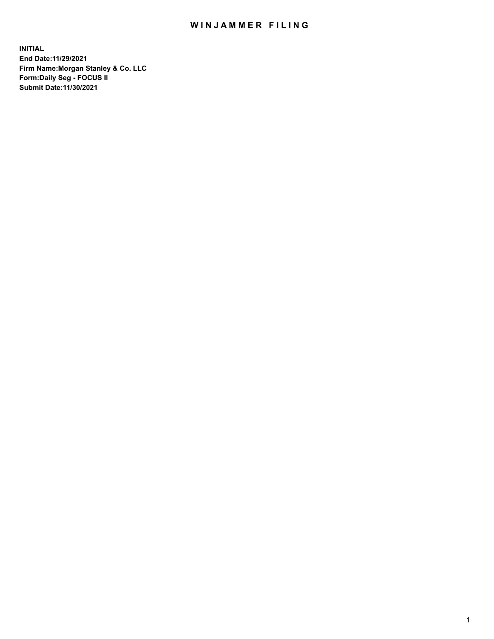## WIN JAMMER FILING

**INITIAL End Date:11/29/2021 Firm Name:Morgan Stanley & Co. LLC Form:Daily Seg - FOCUS II Submit Date:11/30/2021**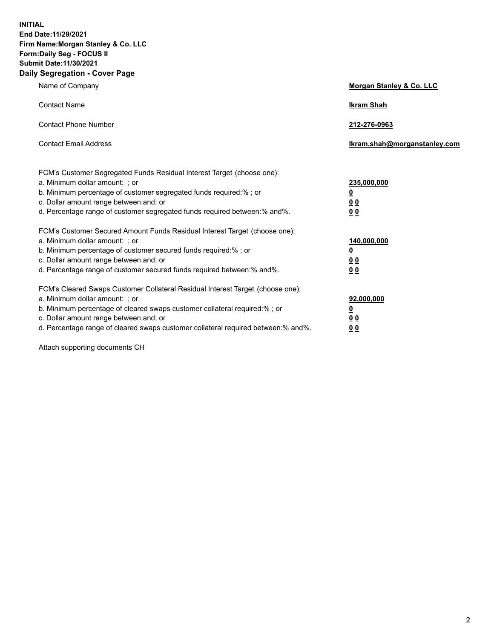**INITIAL End Date:11/29/2021 Firm Name:Morgan Stanley & Co. LLC Form:Daily Seg - FOCUS II Submit Date:11/30/2021 Daily Segregation - Cover Page**

| Name of Company                                                                                                                                                                                                                                                                                                                | Morgan Stanley & Co. LLC                                |
|--------------------------------------------------------------------------------------------------------------------------------------------------------------------------------------------------------------------------------------------------------------------------------------------------------------------------------|---------------------------------------------------------|
| <b>Contact Name</b>                                                                                                                                                                                                                                                                                                            | <b>Ikram Shah</b>                                       |
| <b>Contact Phone Number</b>                                                                                                                                                                                                                                                                                                    | 212-276-0963                                            |
| <b>Contact Email Address</b>                                                                                                                                                                                                                                                                                                   | Ikram.shah@morganstanley.com                            |
| FCM's Customer Segregated Funds Residual Interest Target (choose one):<br>a. Minimum dollar amount: ; or<br>b. Minimum percentage of customer segregated funds required:%; or<br>c. Dollar amount range between: and; or<br>d. Percentage range of customer segregated funds required between: % and %.                        | 235,000,000<br><u>0</u><br>00<br>0 Q                    |
| FCM's Customer Secured Amount Funds Residual Interest Target (choose one):<br>a. Minimum dollar amount: ; or<br>b. Minimum percentage of customer secured funds required:%; or<br>c. Dollar amount range between: and; or<br>d. Percentage range of customer secured funds required between:% and%.                            | 140,000,000<br><u>0</u><br><u>0 0</u><br>0 <sub>0</sub> |
| FCM's Cleared Swaps Customer Collateral Residual Interest Target (choose one):<br>a. Minimum dollar amount: ; or<br>b. Minimum percentage of cleared swaps customer collateral required:% ; or<br>c. Dollar amount range between: and; or<br>d. Percentage range of cleared swaps customer collateral required between:% and%. | 92,000,000<br><u>0</u><br><u>00</u><br>00               |

Attach supporting documents CH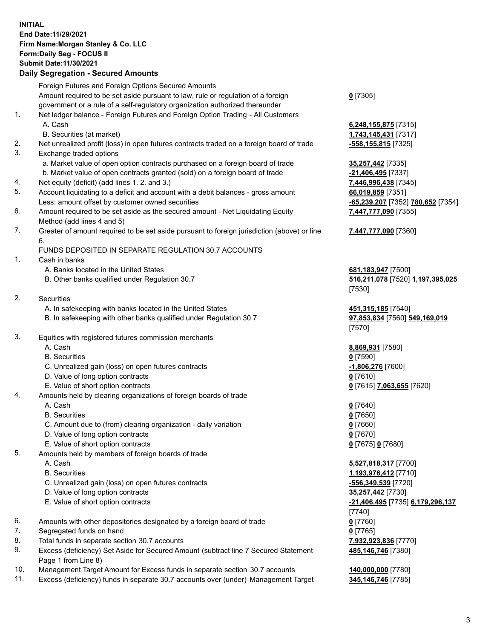## **INITIAL End Date:11/29/2021 Firm Name:Morgan Stanley & Co. LLC Form:Daily Seg - FOCUS II Submit Date:11/30/2021**

## **Daily Segregation - Secured Amounts**

Foreign Futures and Foreign Options Secured Amounts Amount required to be set aside pursuant to law, rule or regulation of a foreign government or a rule of a self-regulatory organization authorized thereunder **0** [7305] 1. Net ledger balance - Foreign Futures and Foreign Option Trading - All Customers A. Cash **6,248,155,875** [7315] B. Securities (at market) **1,743,145,431** [7317] 2. Net unrealized profit (loss) in open futures contracts traded on a foreign board of trade **-558,155,815** [7325] 3. Exchange traded options a. Market value of open option contracts purchased on a foreign board of trade **35,257,442** [7335] b. Market value of open contracts granted (sold) on a foreign board of trade **-21,406,495** [7337] 4. Net equity (deficit) (add lines 1. 2. and 3.) **7,446,996,438** [7345] 5. Account liquidating to a deficit and account with a debit balances - gross amount **66,019,859** [7351] Less: amount offset by customer owned securities **-65,239,207** [7352] **780,652** [7354] 6. Amount required to be set aside as the secured amount - Net Liquidating Equity Method (add lines 4 and 5) **7,447,777,090** [7355] 7. Greater of amount required to be set aside pursuant to foreign jurisdiction (above) or line 6. FUNDS DEPOSITED IN SEPARATE REGULATION 30.7 ACCOUNTS 1. Cash in banks A. Banks located in the United States **681,183,947** [7500] B. Other banks qualified under Regulation 30.7 **516,211,078** [7520] **1,197,395,025** [7530] 2. Securities A. In safekeeping with banks located in the United States **451,315,185** [7540] B. In safekeeping with other banks qualified under Regulation 30.7 **97,853,834** [7560] **549,169,019** [7570] 3. Equities with registered futures commission merchants A. Cash **8,869,931** [7580] B. Securities **0** [7590] C. Unrealized gain (loss) on open futures contracts **-1,806,276** [7600] D. Value of long option contracts **0** [7610] E. Value of short option contracts **0** [7615] **7,063,655** [7620] 4. Amounts held by clearing organizations of foreign boards of trade A. Cash **0** [7640] B. Securities **0** [7650] C. Amount due to (from) clearing organization - daily variation **0** [7660] D. Value of long option contracts **0** [7670] E. Value of short option contracts **0** [7675] **0** [7680] 5. Amounts held by members of foreign boards of trade A. Cash **5,527,818,317** [7700] B. Securities **1,193,976,412** [7710] C. Unrealized gain (loss) on open futures contracts **-556,349,539** [7720] D. Value of long option contracts **35,257,442** [7730] E. Value of short option contracts **-21,406,495** [7735] **6,179,296,137** [7740] 6. Amounts with other depositories designated by a foreign board of trade **0** [7760] 7. Segregated funds on hand **0** [7765] 8. Total funds in separate section 30.7 accounts **7,932,923,836** [7770] 9. Excess (deficiency) Set Aside for Secured Amount (subtract line 7 Secured Statement Page 1 from Line 8)

- 10. Management Target Amount for Excess funds in separate section 30.7 accounts **140,000,000** [7780]
- 11. Excess (deficiency) funds in separate 30.7 accounts over (under) Management Target **345,146,746** [7785]

## **7,447,777,090** [7360]

**485,146,746** [7380]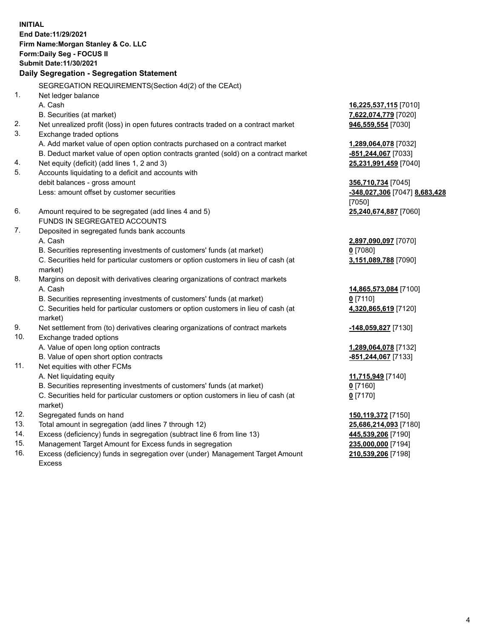**INITIAL End Date:11/29/2021 Firm Name:Morgan Stanley & Co. LLC Form:Daily Seg - FOCUS II Submit Date:11/30/2021 Daily Segregation - Segregation Statement** SEGREGATION REQUIREMENTS(Section 4d(2) of the CEAct) 1. Net ledger balance A. Cash **16,225,537,115** [7010] B. Securities (at market) **7,622,074,779** [7020] 2. Net unrealized profit (loss) in open futures contracts traded on a contract market **946,559,554** [7030] 3. Exchange traded options A. Add market value of open option contracts purchased on a contract market **1,289,064,078** [7032] B. Deduct market value of open option contracts granted (sold) on a contract market **-851,244,067** [7033] 4. Net equity (deficit) (add lines 1, 2 and 3) **25,231,991,459** [7040] 5. Accounts liquidating to a deficit and accounts with debit balances - gross amount **356,710,734** [7045] Less: amount offset by customer securities **-348,027,306** [7047] **8,683,428** [7050] 6. Amount required to be segregated (add lines 4 and 5) **25,240,674,887** [7060] FUNDS IN SEGREGATED ACCOUNTS 7. Deposited in segregated funds bank accounts A. Cash **2,897,090,097** [7070] B. Securities representing investments of customers' funds (at market) **0** [7080] C. Securities held for particular customers or option customers in lieu of cash (at market) **3,151,089,788** [7090] 8. Margins on deposit with derivatives clearing organizations of contract markets A. Cash **14,865,573,084** [7100] B. Securities representing investments of customers' funds (at market) **0** [7110] C. Securities held for particular customers or option customers in lieu of cash (at market) **4,320,865,619** [7120] 9. Net settlement from (to) derivatives clearing organizations of contract markets **-148,059,827** [7130] 10. Exchange traded options A. Value of open long option contracts **1,289,064,078** [7132] B. Value of open short option contracts **-851,244,067** [7133] 11. Net equities with other FCMs A. Net liquidating equity **11,715,949** [7140] B. Securities representing investments of customers' funds (at market) **0** [7160] C. Securities held for particular customers or option customers in lieu of cash (at market) **0** [7170] 12. Segregated funds on hand **150,119,372** [7150] 13. Total amount in segregation (add lines 7 through 12) **25,686,214,093** [7180] 14. Excess (deficiency) funds in segregation (subtract line 6 from line 13) **445,539,206** [7190] 15. Management Target Amount for Excess funds in segregation **235,000,000** [7194]

16. Excess (deficiency) funds in segregation over (under) Management Target Amount Excess

**210,539,206** [7198]